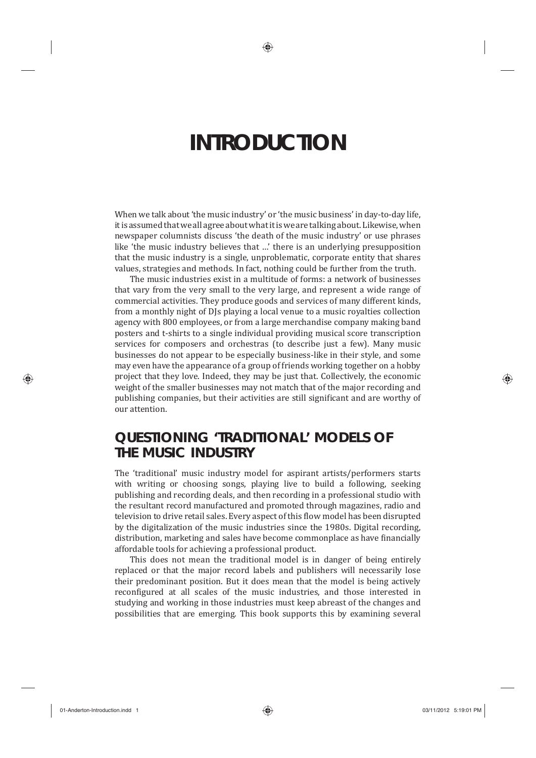# **INTRODUCTION**

◈

When we talk about 'the music industry' or 'the music business' in day-to-day life, it is assumed that we all agree about what it is we are talking about. Likewise, when newspaper columnists discuss 'the death of the music industry' or use phrases like 'the music industry believes that …' there is an underlying presupposition that the music industry is a single, unproblematic, corporate entity that shares values, strategies and methods. In fact, nothing could be further from the truth.

The music industries exist in a multitude of forms: a network of businesses that vary from the very small to the very large, and represent a wide range of commercial activities. They produce goods and services of many different kinds, from a monthly night of DJs playing a local venue to a music royalties collection agency with 800 employees, or from a large merchandise company making band posters and t-shirts to a single individual providing musical score transcription services for composers and orchestras (to describe just a few). Many music businesses do not appear to be especially business-like in their style, and some may even have the appearance of a group of friends working together on a hobby project that they love. Indeed, they may be just that. Collectively, the economic weight of the smaller businesses may not match that of the major recording and publishing companies, but their activities are still significant and are worthy of our attention.

## **QUESTIONING 'TRADITIONAL' MODELS OF THE MUSIC INDUSTRY**

The 'traditional' music industry model for aspirant artists/performers starts with writing or choosing songs, playing live to build a following, seeking publishing and recording deals, and then recording in a professional studio with the resultant record manufactured and promoted through magazines, radio and television to drive retail sales. Every aspect of this flow model has been disrupted by the digitalization of the music industries since the 1980s. Digital recording, distribution, marketing and sales have become commonplace as have financially affordable tools for achieving a professional product.

This does not mean the traditional model is in danger of being entirely replaced or that the major record labels and publishers will necessarily lose their predominant position. But it does mean that the model is being actively reconfigured at all scales of the music industries, and those interested in studying and working in those industries must keep abreast of the changes and possibilities that are emerging. This book supports this by examining several

♠

♠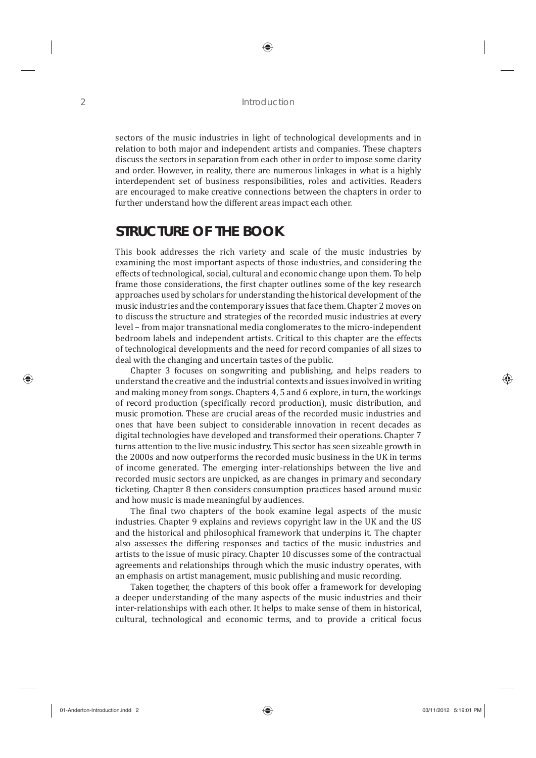#### 2 Introduction

◈

sectors of the music industries in light of technological developments and in relation to both major and independent artists and companies. These chapters discuss the sectors in separation from each other in order to impose some clarity and order. However, in reality, there are numerous linkages in what is a highly interdependent set of business responsibilities, roles and activities. Readers are encouraged to make creative connections between the chapters in order to further understand how the different areas impact each other.

### **STRUCTURE OF THE BOOK**

This book addresses the rich variety and scale of the music industries by examining the most important aspects of those industries, and considering the effects of technological, social, cultural and economic change upon them. To help frame those considerations, the first chapter outlines some of the key research approaches used by scholars for understanding the historical development of the music industries and the contemporary issues that face them. Chapter 2 moves on to discuss the structure and strategies of the recorded music industries at every level – from major transnational media conglomerates to the micro-independent bedroom labels and independent artists. Critical to this chapter are the effects of technological developments and the need for record companies of all sizes to deal with the changing and uncertain tastes of the public.

Chapter 3 focuses on songwriting and publishing, and helps readers to understand the creative and the industrial contexts and issues involved in writing and making money from songs. Chapters 4, 5 and 6 explore, in turn, the workings of record production (specifically record production), music distribution, and music promotion. These are crucial areas of the recorded music industries and ones that have been subject to considerable innovation in recent decades as digital technologies have developed and transformed their operations. Chapter 7 turns attention to the live music industry. This sector has seen sizeable growth in the 2000s and now outperforms the recorded music business in the UK in terms of income generated. The emerging inter-relationships between the live and recorded music sectors are unpicked, as are changes in primary and secondary ticketing. Chapter 8 then considers consumption practices based around music and how music is made meaningful by audiences.

The final two chapters of the book examine legal aspects of the music industries. Chapter 9 explains and reviews copyright law in the UK and the US and the historical and philosophical framework that underpins it. The chapter also assesses the differing responses and tactics of the music industries and artists to the issue of music piracy. Chapter 10 discusses some of the contractual agreements and relationships through which the music industry operates, with an emphasis on artist management, music publishing and music recording.

Taken together, the chapters of this book offer a framework for developing a deeper understanding of the many aspects of the music industries and their inter-relationships with each other. It helps to make sense of them in historical, cultural, technological and economic terms, and to provide a critical focus

♠

♠